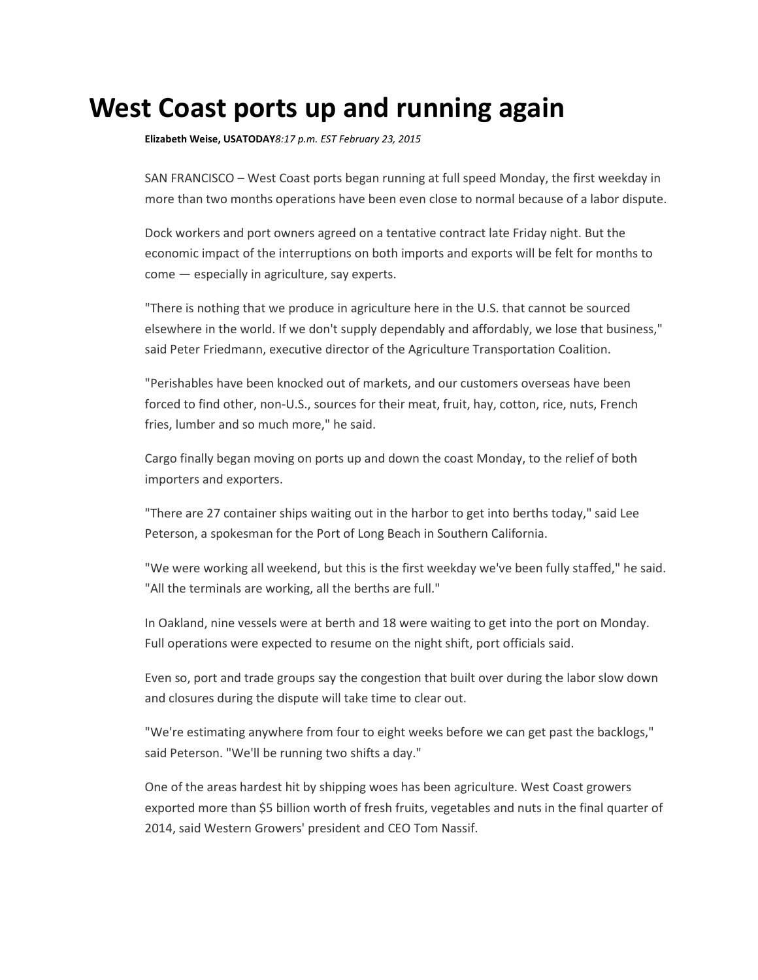## **West Coast ports up and running again**

**[Elizabeth Weise,](http://www.usatoday.com/staff/793/elizabeth-weise/) USATODAY***8:17 p.m. EST February 23, 2015*

SAN FRANCISCO – West Coast ports began running at full speed Monday, the first weekday in more than two months operations have been even close to normal because of a labor dispute.

Dock workers and port owners agreed on a tentative contract late Friday night. But the economic impact of the interruptions on both imports and exports will be felt for months to come — especially in agriculture, say experts.

"There is nothing that we produce in agriculture here in the U.S. that cannot be sourced elsewhere in the world. If we don't supply dependably and affordably, we lose that business," said Peter Friedmann, executive director of the Agriculture Transportation Coalition.

"Perishables have been knocked out of markets, and our customers overseas have been forced to find other, non-U.S., sources for their meat, fruit, hay, cotton, rice, nuts, French fries, lumber and so much more," he said.

Cargo finally began moving on ports up and down the coast Monday, to the relief of both importers and exporters.

"There are 27 container ships waiting out in the harbor to get into berths today," said Lee Peterson, a spokesman for the Port of Long Beach in Southern California.

"We were working all weekend, but this is the first weekday we've been fully staffed," he said. "All the terminals are working, all the berths are full."

In Oakland, nine vessels were at berth and 18 were waiting to get into the port on Monday. Full operations were expected to resume on the night shift, port officials said.

Even so, port and trade groups say the congestion that built over during the labor slow down and closures during the dispute will take time to clear out.

"We're estimating anywhere from four to eight weeks before we can get past the backlogs," said Peterson. "We'll be running two shifts a day."

One of the areas hardest hit by shipping woes has been agriculture. West Coast growers exported more than \$5 billion worth of fresh fruits, vegetables and nuts in the final quarter of 2014, said Western Growers' president and CEO Tom Nassif.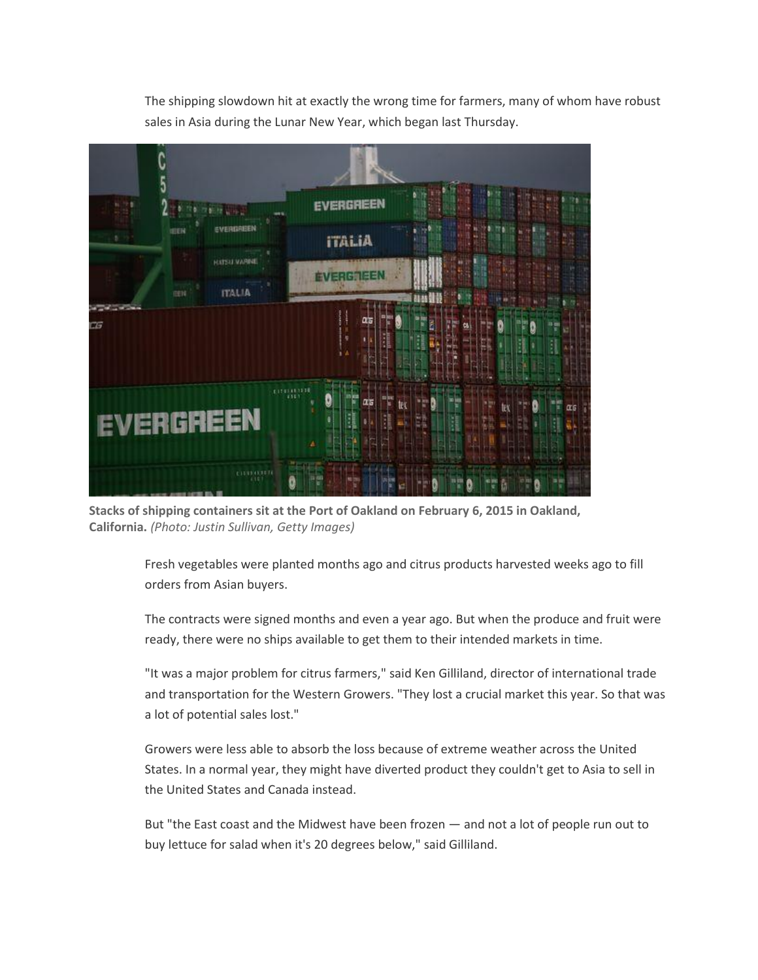The shipping slowdown hit at exactly the wrong time for farmers, many of whom have robust sales in Asia during the Lunar New Year, which began last Thursday.



**Stacks of shipping containers sit at the Port of Oakland on February 6, 2015 in Oakland, California.** *(Photo: Justin Sullivan, Getty Images)*

Fresh vegetables were planted months ago and citrus products harvested weeks ago to fill orders from Asian buyers.

The contracts were signed months and even a year ago. But when the produce and fruit were ready, there were no ships available to get them to their intended markets in time.

"It was a major problem for citrus farmers," said Ken Gilliland, director of international trade and transportation for the Western Growers. "They lost a crucial market this year. So that was a lot of potential sales lost."

Growers were less able to absorb the loss because of extreme weather across the United States. In a normal year, they might have diverted product they couldn't get to Asia to sell in the United States and Canada instead.

But "the East coast and the Midwest have been frozen — and not a lot of people run out to buy lettuce for salad when it's 20 degrees below," said Gilliland.